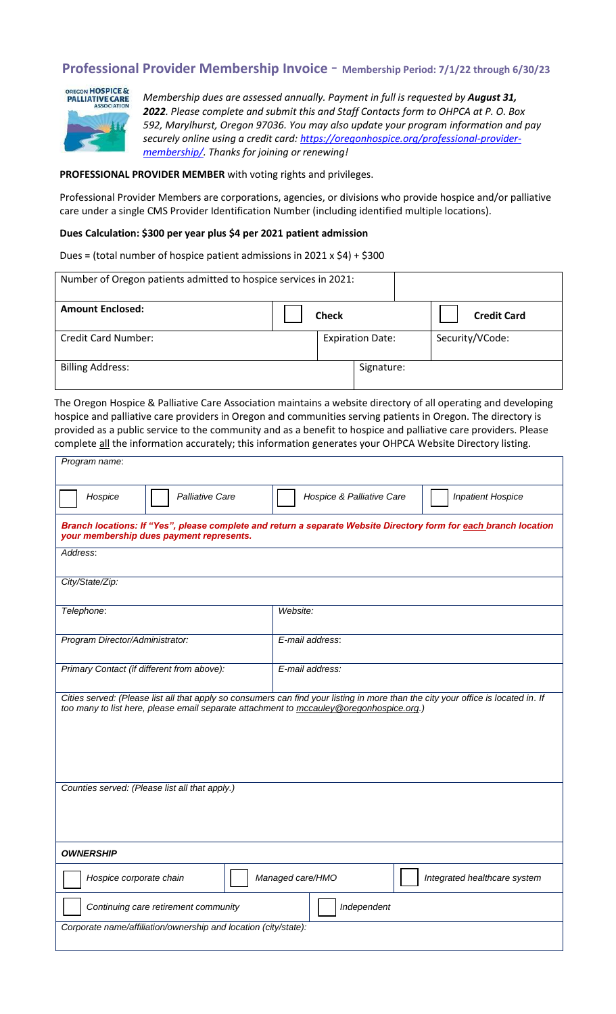## **Professional Provider Membership Invoice** - **Membership Period: 7/1/22 through 6/30/23**



*Membership dues are assessed annually. Payment in full is requested by August 31, 2022. Please complete and submit this and Staff Contacts form to OHPCA at P. O. Box 592, Marylhurst, Oregon 97036. You may also update your program information and pay securely online using a credit card: [https://oregonhospice.org/professional-provider](https://oregonhospice.org/professional-provider-membership/)[membership/.](https://oregonhospice.org/professional-provider-membership/) Thanks for joining or renewing!*

## **PROFESSIONAL PROVIDER MEMBER** with voting rights and privileges.

Professional Provider Members are corporations, agencies, or divisions who provide hospice and/or palliative care under a single CMS Provider Identification Number (including identified multiple locations).

## **Dues Calculation: \$300 per year plus \$4 per 2021 patient admission**

Dues = (total number of hospice patient admissions in 2021 x \$4) + \$300

| Number of Oregon patients admitted to hospice services in 2021: |  |              |                         |                    |  |
|-----------------------------------------------------------------|--|--------------|-------------------------|--------------------|--|
| <b>Amount Enclosed:</b>                                         |  | <b>Check</b> |                         | <b>Credit Card</b> |  |
| <b>Credit Card Number:</b>                                      |  |              | <b>Expiration Date:</b> | Security/VCode:    |  |
| <b>Billing Address:</b>                                         |  |              | Signature:              |                    |  |

The Oregon Hospice & Palliative Care Association maintains a website directory of all operating and developing hospice and palliative care providers in Oregon and communities serving patients in Oregon. The directory is provided as a public service to the community and as a benefit to hospice and palliative care providers. Please complete all the information accurately; this information generates your OHPCA Website Directory listing.

| Program name:                                                                                                                                                                                                                |                                                       |  |  |  |  |
|------------------------------------------------------------------------------------------------------------------------------------------------------------------------------------------------------------------------------|-------------------------------------------------------|--|--|--|--|
| Hospice<br><b>Palliative Care</b>                                                                                                                                                                                            | Hospice & Palliative Care<br><b>Inpatient Hospice</b> |  |  |  |  |
| Branch locations: If "Yes", please complete and return a separate Website Directory form for each branch location<br>your membership dues payment represents.                                                                |                                                       |  |  |  |  |
| Address:                                                                                                                                                                                                                     |                                                       |  |  |  |  |
| City/State/Zip:                                                                                                                                                                                                              |                                                       |  |  |  |  |
| Telephone:                                                                                                                                                                                                                   | Website:                                              |  |  |  |  |
| Program Director/Administrator:                                                                                                                                                                                              | E-mail address:                                       |  |  |  |  |
| Primary Contact (if different from above):                                                                                                                                                                                   | E-mail address:                                       |  |  |  |  |
| Cities served: (Please list all that apply so consumers can find your listing in more than the city your office is located in. If<br>too many to list here, please email separate attachment to mccauley@oregonhospice.org.) |                                                       |  |  |  |  |
| Counties served: (Please list all that apply.)                                                                                                                                                                               |                                                       |  |  |  |  |
| <b>OWNERSHIP</b>                                                                                                                                                                                                             |                                                       |  |  |  |  |
| Hospice corporate chain                                                                                                                                                                                                      | Managed care/HMO<br>Integrated healthcare system      |  |  |  |  |
| Independent<br>Continuing care retirement community                                                                                                                                                                          |                                                       |  |  |  |  |
| Corporate name/affiliation/ownership and location (city/state):                                                                                                                                                              |                                                       |  |  |  |  |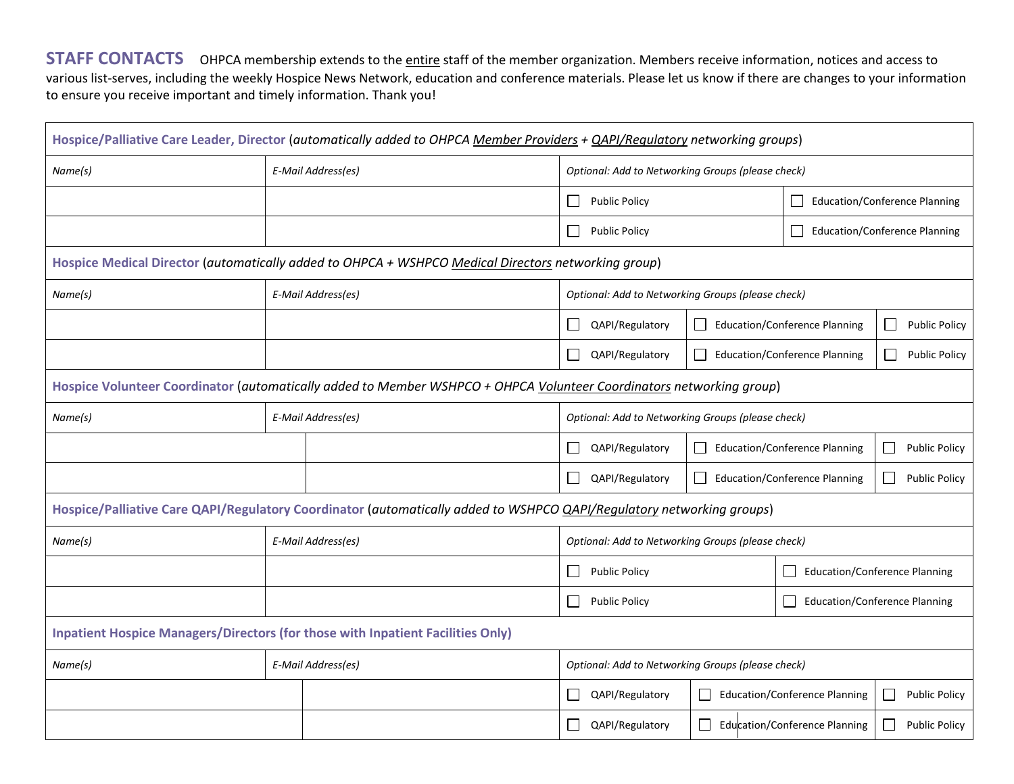**STAFF CONTACTS** OHPCA membership extends to the *entire* staff of the member organization. Members receive information, notices and access to various list-serves, including the weekly Hospice News Network, education and conference materials. Please let us know if there are changes to your information to ensure you receive important and timely information. Thank you!

|                                                                                                                       |                    | Hospice/Palliative Care Leader, Director (automatically added to OHPCA Member Providers + QAPI/Regulatory networking groups) |                                                   |              |                                                 |                                           |  |
|-----------------------------------------------------------------------------------------------------------------------|--------------------|------------------------------------------------------------------------------------------------------------------------------|---------------------------------------------------|--------------|-------------------------------------------------|-------------------------------------------|--|
| Name(s)                                                                                                               |                    | E-Mail Address(es)                                                                                                           | Optional: Add to Networking Groups (please check) |              |                                                 |                                           |  |
|                                                                                                                       |                    |                                                                                                                              | <b>Public Policy</b>                              |              | <b>Education/Conference Planning</b>            |                                           |  |
|                                                                                                                       |                    |                                                                                                                              | <b>Public Policy</b>                              |              | <b>Education/Conference Planning</b><br>$\perp$ |                                           |  |
|                                                                                                                       |                    | Hospice Medical Director (automatically added to OHPCA + WSHPCO Medical Directors networking group)                          |                                                   |              |                                                 |                                           |  |
| Name(s)                                                                                                               |                    | E-Mail Address(es)                                                                                                           | Optional: Add to Networking Groups (please check) |              |                                                 |                                           |  |
|                                                                                                                       |                    |                                                                                                                              | QAPI/Regulatory<br>$\mathsf{L}$                   |              | <b>Education/Conference Planning</b>            | <b>Public Policy</b><br>$\mathcal{L}$     |  |
|                                                                                                                       |                    |                                                                                                                              | QAPI/Regulatory                                   |              | <b>Education/Conference Planning</b>            | <b>Public Policy</b><br>$\blacksquare$    |  |
| Hospice Volunteer Coordinator (automatically added to Member WSHPCO + OHPCA Volunteer Coordinators networking group)  |                    |                                                                                                                              |                                                   |              |                                                 |                                           |  |
| Name(s)                                                                                                               |                    | E-Mail Address(es)                                                                                                           | Optional: Add to Networking Groups (please check) |              |                                                 |                                           |  |
|                                                                                                                       |                    |                                                                                                                              | QAPI/Regulatory                                   | $\mathsf{L}$ | <b>Education/Conference Planning</b>            | <b>Public Policy</b><br>$\vert \ \ \vert$ |  |
|                                                                                                                       |                    |                                                                                                                              | QAPI/Regulatory                                   |              | <b>Education/Conference Planning</b>            | <b>Public Policy</b>                      |  |
| Hospice/Palliative Care QAPI/Regulatory Coordinator (automatically added to WSHPCO QAPI/Regulatory networking groups) |                    |                                                                                                                              |                                                   |              |                                                 |                                           |  |
| Name(s)                                                                                                               | E-Mail Address(es) |                                                                                                                              | Optional: Add to Networking Groups (please check) |              |                                                 |                                           |  |
|                                                                                                                       |                    |                                                                                                                              | <b>Public Policy</b>                              |              | <b>Education/Conference Planning</b>            |                                           |  |
|                                                                                                                       |                    |                                                                                                                              | <b>Public Policy</b>                              |              |                                                 | <b>Education/Conference Planning</b>      |  |
| <b>Inpatient Hospice Managers/Directors (for those with Inpatient Facilities Only)</b>                                |                    |                                                                                                                              |                                                   |              |                                                 |                                           |  |
| Name(s)                                                                                                               |                    | E-Mail Address(es)                                                                                                           | Optional: Add to Networking Groups (please check) |              |                                                 |                                           |  |
|                                                                                                                       |                    |                                                                                                                              | QAPI/Regulatory                                   | $\Box$       | <b>Education/Conference Planning</b>            | <b>Public Policy</b><br>$\mathsf{L}$      |  |
|                                                                                                                       |                    |                                                                                                                              | QAPI/Regulatory                                   | $\Box$       | Education/Conference Planning                   | <b>Public Policy</b>                      |  |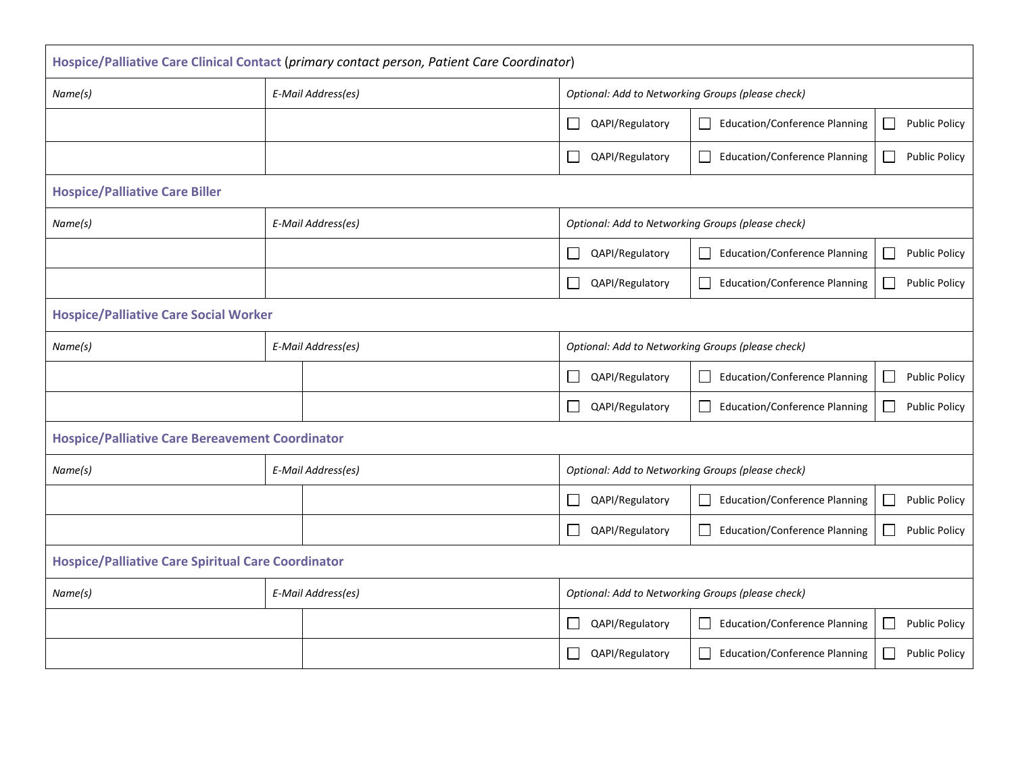| Hospice/Palliative Care Clinical Contact (primary contact person, Patient Care Coordinator) |                    |                                                   |                                                                                   |  |  |
|---------------------------------------------------------------------------------------------|--------------------|---------------------------------------------------|-----------------------------------------------------------------------------------|--|--|
| Name(s)                                                                                     | E-Mail Address(es) | Optional: Add to Networking Groups (please check) |                                                                                   |  |  |
|                                                                                             |                    | $\Box$<br>QAPI/Regulatory                         | <b>Education/Conference Planning</b><br><b>Public Policy</b><br>$\Box$<br>$\Box$  |  |  |
|                                                                                             |                    | П<br>QAPI/Regulatory                              | <b>Education/Conference Planning</b><br><b>Public Policy</b><br>$\Box$<br>$\Box$  |  |  |
| <b>Hospice/Palliative Care Biller</b>                                                       |                    |                                                   |                                                                                   |  |  |
| Name(s)                                                                                     | E-Mail Address(es) | Optional: Add to Networking Groups (please check) |                                                                                   |  |  |
|                                                                                             |                    | $\Box$<br>QAPI/Regulatory                         | <b>Education/Conference Planning</b><br><b>Public Policy</b><br>$\Box$            |  |  |
|                                                                                             |                    | $\mathcal{L}_{\mathcal{A}}$<br>QAPI/Regulatory    | <b>Education/Conference Planning</b><br><b>Public Policy</b><br>$\vert \ \ \vert$ |  |  |
| <b>Hospice/Palliative Care Social Worker</b>                                                |                    |                                                   |                                                                                   |  |  |
| Name(s)                                                                                     | E-Mail Address(es) | Optional: Add to Networking Groups (please check) |                                                                                   |  |  |
|                                                                                             |                    | QAPI/Regulatory<br>$\mathbf{L}$                   | <b>Education/Conference Planning</b><br><b>Public Policy</b><br>$\vert \ \ \vert$ |  |  |
|                                                                                             |                    | QAPI/Regulatory<br>I.                             | <b>Education/Conference Planning</b><br><b>Public Policy</b><br>$\blacksquare$    |  |  |
| <b>Hospice/Palliative Care Bereavement Coordinator</b>                                      |                    |                                                   |                                                                                   |  |  |
| Name(s)                                                                                     | E-Mail Address(es) | Optional: Add to Networking Groups (please check) |                                                                                   |  |  |
|                                                                                             |                    | $\mathbf{L}$<br>QAPI/Regulatory                   | <b>Education/Conference Planning</b><br><b>Public Policy</b><br>Ш                 |  |  |
|                                                                                             |                    | $\overline{\phantom{a}}$<br>QAPI/Regulatory       | <b>Education/Conference Planning</b><br><b>Public Policy</b><br>$\Box$<br>$\Box$  |  |  |
| <b>Hospice/Palliative Care Spiritual Care Coordinator</b>                                   |                    |                                                   |                                                                                   |  |  |
| Name(s)                                                                                     | E-Mail Address(es) | Optional: Add to Networking Groups (please check) |                                                                                   |  |  |
|                                                                                             |                    | QAPI/Regulatory<br>$\mathbf{L}$                   | <b>Education/Conference Planning</b><br><b>Public Policy</b><br>$\Box$<br>$\Box$  |  |  |
|                                                                                             |                    | $\overline{\phantom{a}}$<br>QAPI/Regulatory       | <b>Education/Conference Planning</b><br><b>Public Policy</b><br>$\Box$<br>$\Box$  |  |  |